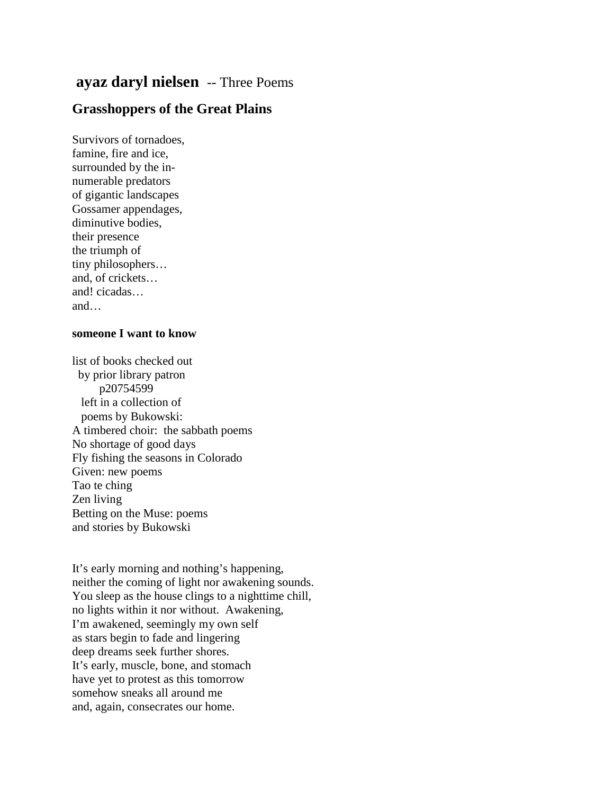## **ayaz daryl nielsen** -- Three Poems

## **Grasshoppers of the Great Plains**

Survivors of tornadoes, famine, fire and ice, surrounded by the innumerable predators of gigantic landscapes Gossamer appendages, diminutive bodies, their presence the triumph of tiny philosophers… and, of crickets… and! cicadas… and…

## **someone I want to know**

list of books checked out by prior library patron p20754599 left in a collection of poems by Bukowski: A timbered choir: the sabbath poems No shortage of good days Fly fishing the seasons in Colorado Given: new poems Tao te ching Zen living Betting on the Muse: poems and stories by Bukowski

It's early morning and nothing's happening, neither the coming of light nor awakening sounds. You sleep as the house clings to a nighttime chill, no lights within it nor without. Awakening, I'm awakened, seemingly my own self as stars begin to fade and lingering deep dreams seek further shores. It's early, muscle, bone, and stomach have yet to protest as this tomorrow somehow sneaks all around me and, again, consecrates our home.